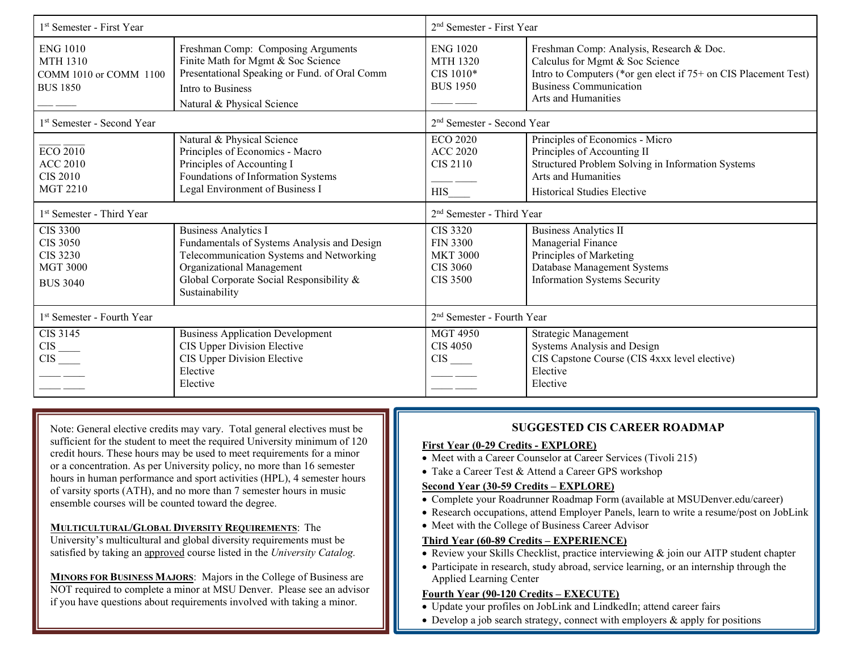| 1 <sup>st</sup> Semester - First Year                                                       |                                                                                                                                                                                                                   | 2 <sup>nd</sup> Semester - First Year                                                       |                                                                                                                                                                                                        |  |
|---------------------------------------------------------------------------------------------|-------------------------------------------------------------------------------------------------------------------------------------------------------------------------------------------------------------------|---------------------------------------------------------------------------------------------|--------------------------------------------------------------------------------------------------------------------------------------------------------------------------------------------------------|--|
| <b>ENG 1010</b><br><b>MTH 1310</b><br>COMM 1010 or COMM 1100<br><b>BUS 1850</b>             | Freshman Comp: Composing Arguments<br>Finite Math for Mgmt & Soc Science<br>Presentational Speaking or Fund. of Oral Comm<br>Intro to Business<br>Natural & Physical Science                                      | <b>ENG 1020</b><br><b>MTH 1320</b><br>CIS 1010*<br><b>BUS 1950</b>                          | Freshman Comp: Analysis, Research & Doc.<br>Calculus for Mgmt & Soc Science<br>Intro to Computers (*or gen elect if 75+ on CIS Placement Test)<br><b>Business Communication</b><br>Arts and Humanities |  |
| 1 <sup>st</sup> Semester - Second Year                                                      |                                                                                                                                                                                                                   | 2 <sup>nd</sup> Semester - Second Year                                                      |                                                                                                                                                                                                        |  |
| <b>ECO 2010</b><br><b>ACC 2010</b><br><b>CIS 2010</b><br><b>MGT 2210</b>                    | Natural & Physical Science<br>Principles of Economics - Macro<br>Principles of Accounting I<br>Foundations of Information Systems<br>Legal Environment of Business I                                              | <b>ECO 2020</b><br><b>ACC 2020</b><br><b>CIS 2110</b><br><b>HIS</b>                         | Principles of Economics - Micro<br>Principles of Accounting II<br>Structured Problem Solving in Information Systems<br>Arts and Humanities<br><b>Historical Studies Elective</b>                       |  |
| 1 <sup>st</sup> Semester - Third Year                                                       |                                                                                                                                                                                                                   | 2 <sup>nd</sup> Semester - Third Year                                                       |                                                                                                                                                                                                        |  |
| <b>CIS 3300</b><br><b>CIS 3050</b><br><b>CIS 3230</b><br><b>MGT 3000</b><br><b>BUS 3040</b> | <b>Business Analytics I</b><br>Fundamentals of Systems Analysis and Design<br>Telecommunication Systems and Networking<br>Organizational Management<br>Global Corporate Social Responsibility &<br>Sustainability | <b>CIS 3320</b><br><b>FIN 3300</b><br><b>MKT 3000</b><br><b>CIS 3060</b><br><b>CIS 3500</b> | <b>Business Analytics II</b><br>Managerial Finance<br>Principles of Marketing<br>Database Management Systems<br><b>Information Systems Security</b>                                                    |  |
| 1 <sup>st</sup> Semester - Fourth Year                                                      |                                                                                                                                                                                                                   | 2 <sup>nd</sup> Semester - Fourth Year                                                      |                                                                                                                                                                                                        |  |
| CIS 3145<br>$\frac{CIS}{CIS}$<br>$\overline{\phantom{a}}$                                   | <b>Business Application Development</b><br>CIS Upper Division Elective<br>CIS Upper Division Elective<br>Elective<br>Elective                                                                                     | <b>MGT 4950</b><br><b>CIS 4050</b><br>$\text{CIS}$ <sub>——</sub>                            | Strategic Management<br>Systems Analysis and Design<br>CIS Capstone Course (CIS 4xxx level elective)<br>Elective<br>Elective                                                                           |  |

Note: General elective credits may vary. Total general electives must be sufficient for the student to meet the required University minimum of 120 credit hours. These hours may be used to meet requirements for a minor or a concentration. As per University policy, no more than 16 semester hours in human performance and sport activities (HPL), 4 semester hours of varsity sports (ATH), and no more than 7 semester hours in music ensemble courses will be counted toward the degree.

**MULTICULTURAL/GLOBAL DIVERSITY REQUIREMENTS**: The University's multicultural and global diversity requirements must be satisfied by taking an approved course listed in the *University Catalog.*

**MINORS FOR BUSINESS MAJORS**: Majors in the College of Business are NOT required to complete a minor at MSU Denver. Please see an advisor if you have questions about requirements involved with taking a minor.

## **SUGGESTED CIS CAREER ROADMAP**

#### **First Year (0-29 Credits - EXPLORE)**

- Meet with a Career Counselor at Career Services (Tivoli 215)
- Take a Career Test & Attend a Career GPS workshop

#### **Second Year (30-59 Credits – EXPLORE)**

- Complete your Roadrunner Roadmap Form (available at MSUDenver.edu/career)
- Research occupations, attend Employer Panels, learn to write a resume/post on JobLink
- Meet with the College of Business Career Advisor

### **Third Year (60-89 Credits – EXPERIENCE)**

- Review your Skills Checklist, practice interviewing & join our AITP student chapter
- Participate in research, study abroad, service learning, or an internship through the Applied Learning Center

### **Fourth Year (90-120 Credits – EXECUTE)**

- Update your profiles on JobLink and LindkedIn; attend career fairs
- Develop a job search strategy, connect with employers  $\&$  apply for positions